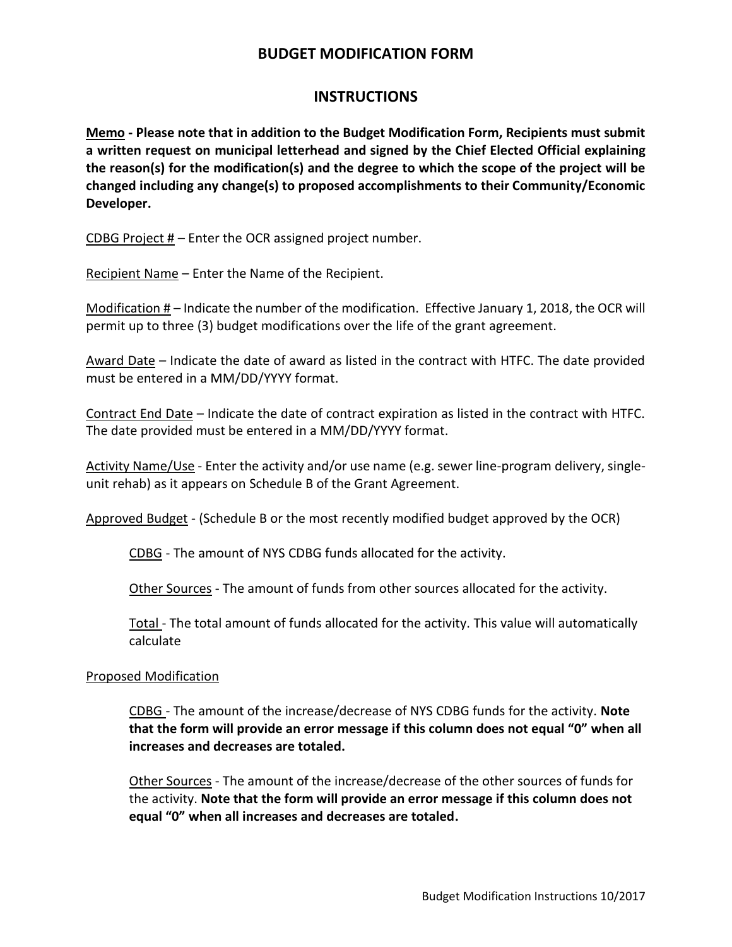## **BUDGET MODIFICATION FORM**

## **INSTRUCTIONS**

**Memo - Please note that in addition to the Budget Modification Form, Recipients must submit a written request on municipal letterhead and signed by the Chief Elected Official explaining the reason(s) for the modification(s) and the degree to which the scope of the project will be changed including any change(s) to proposed accomplishments to their Community/Economic Developer.**

CDBG Project # – Enter the OCR assigned project number.

Recipient Name – Enter the Name of the Recipient.

Modification  $#$  – Indicate the number of the modification. Effective January 1, 2018, the OCR will permit up to three (3) budget modifications over the life of the grant agreement.

Award Date – Indicate the date of award as listed in the contract with HTFC. The date provided must be entered in a MM/DD/YYYY format.

Contract End Date – Indicate the date of contract expiration as listed in the contract with HTFC. The date provided must be entered in a MM/DD/YYYY format.

Activity Name/Use - Enter the activity and/or use name (e.g. sewer line-program delivery, singleunit rehab) as it appears on Schedule B of the Grant Agreement.

Approved Budget - (Schedule B or the most recently modified budget approved by the OCR)

CDBG - The amount of NYS CDBG funds allocated for the activity.

Other Sources - The amount of funds from other sources allocated for the activity.

Total - The total amount of funds allocated for the activity. This value will automatically calculate

#### Proposed Modification

CDBG - The amount of the increase/decrease of NYS CDBG funds for the activity. **Note that the form will provide an error message if this column does not equal "0" when all increases and decreases are totaled.**

Other Sources - The amount of the increase/decrease of the other sources of funds for the activity. **Note that the form will provide an error message if this column does not equal "0" when all increases and decreases are totaled.**